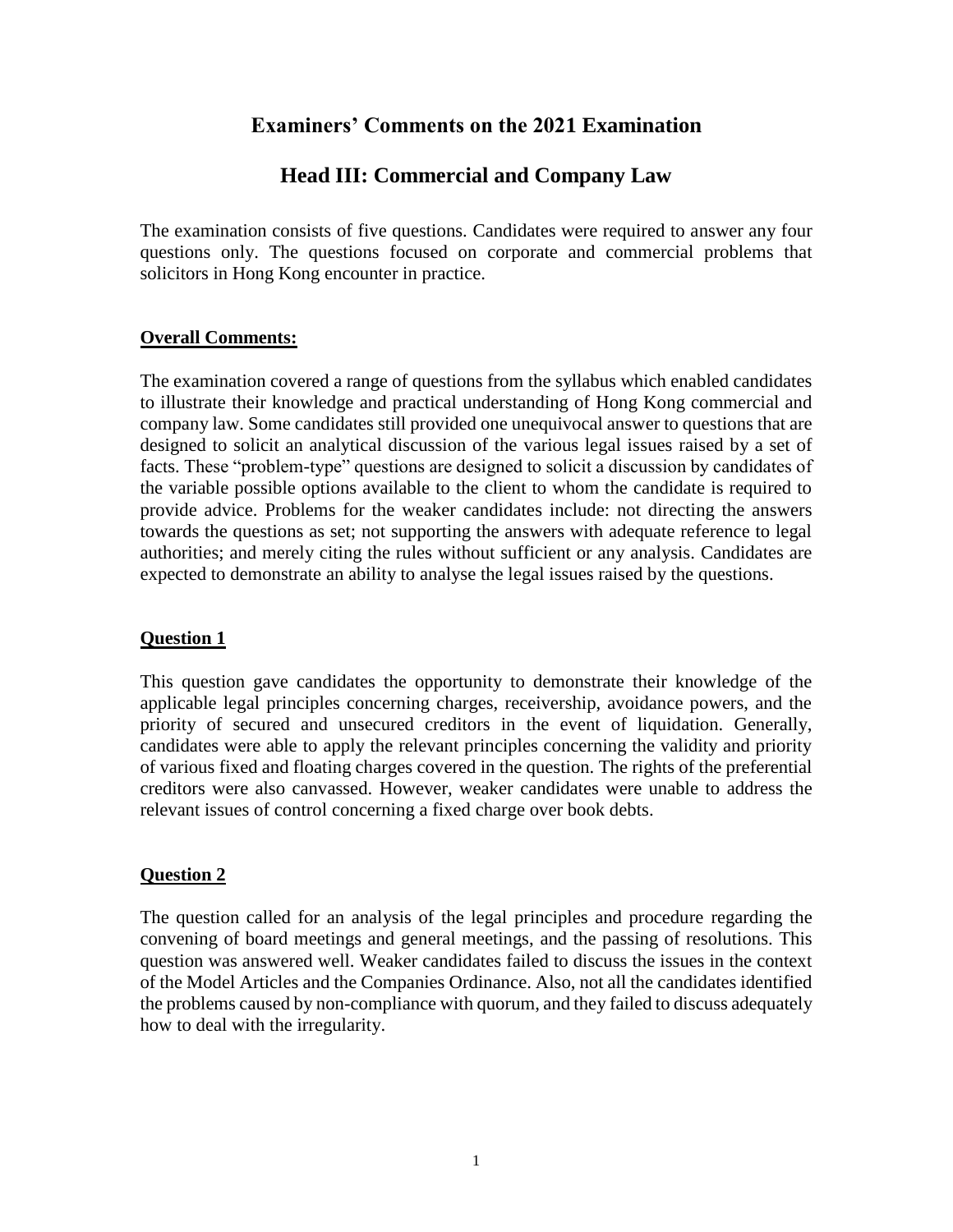# **Examiners' Comments on the 2021 Examination**

# **Head III: Commercial and Company Law**

The examination consists of five questions. Candidates were required to answer any four questions only. The questions focused on corporate and commercial problems that solicitors in Hong Kong encounter in practice.

## **Overall Comments:**

The examination covered a range of questions from the syllabus which enabled candidates to illustrate their knowledge and practical understanding of Hong Kong commercial and company law. Some candidates still provided one unequivocal answer to questions that are designed to solicit an analytical discussion of the various legal issues raised by a set of facts. These "problem-type" questions are designed to solicit a discussion by candidates of the variable possible options available to the client to whom the candidate is required to provide advice. Problems for the weaker candidates include: not directing the answers towards the questions as set; not supporting the answers with adequate reference to legal authorities; and merely citing the rules without sufficient or any analysis. Candidates are expected to demonstrate an ability to analyse the legal issues raised by the questions.

### **Question 1**

This question gave candidates the opportunity to demonstrate their knowledge of the applicable legal principles concerning charges, receivership, avoidance powers, and the priority of secured and unsecured creditors in the event of liquidation. Generally, candidates were able to apply the relevant principles concerning the validity and priority of various fixed and floating charges covered in the question. The rights of the preferential creditors were also canvassed. However, weaker candidates were unable to address the relevant issues of control concerning a fixed charge over book debts.

## **Question 2**

The question called for an analysis of the legal principles and procedure regarding the convening of board meetings and general meetings, and the passing of resolutions. This question was answered well. Weaker candidates failed to discuss the issues in the context of the Model Articles and the Companies Ordinance. Also, not all the candidates identified the problems caused by non-compliance with quorum, and they failed to discuss adequately how to deal with the irregularity.